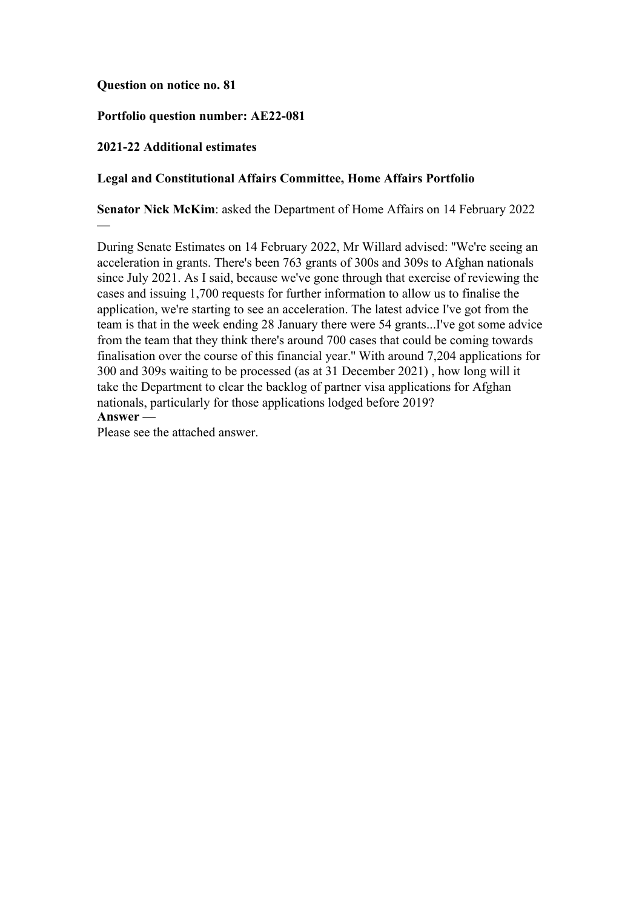### **Question on notice no. 81**

## **Portfolio question number: AE22-081**

### **2021-22 Additional estimates**

—

### **Legal and Constitutional Affairs Committee, Home Affairs Portfolio**

**Senator Nick McKim**: asked the Department of Home Affairs on 14 February 2022

During Senate Estimates on 14 February 2022, Mr Willard advised: ''We're seeing an acceleration in grants. There's been 763 grants of 300s and 309s to Afghan nationals since July 2021. As I said, because we've gone through that exercise of reviewing the cases and issuing 1,700 requests for further information to allow us to finalise the application, we're starting to see an acceleration. The latest advice I've got from the team is that in the week ending 28 January there were 54 grants...I've got some advice from the team that they think there's around 700 cases that could be coming towards finalisation over the course of this financial year.'' With around 7,204 applications for 300 and 309s waiting to be processed (as at 31 December 2021) , how long will it take the Department to clear the backlog of partner visa applications for Afghan nationals, particularly for those applications lodged before 2019? **Answer —**

Please see the attached answer.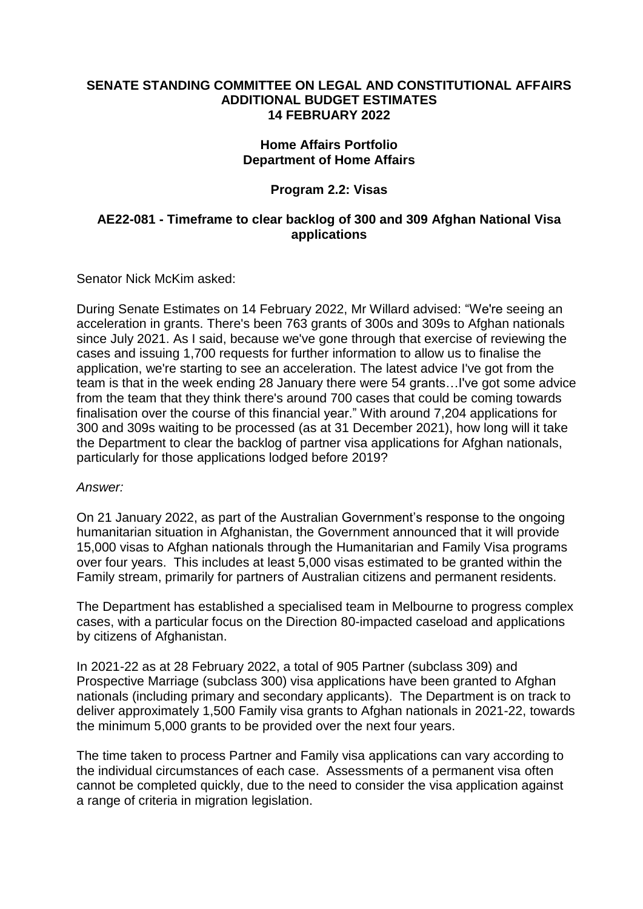### **SENATE STANDING COMMITTEE ON LEGAL AND CONSTITUTIONAL AFFAIRS ADDITIONAL BUDGET ESTIMATES 14 FEBRUARY 2022**

## **Home Affairs Portfolio Department of Home Affairs**

# **Program 2.2: Visas**

## **AE22-081 - Timeframe to clear backlog of 300 and 309 Afghan National Visa applications**

Senator Nick McKim asked:

During Senate Estimates on 14 February 2022, Mr Willard advised: "We're seeing an acceleration in grants. There's been 763 grants of 300s and 309s to Afghan nationals since July 2021. As I said, because we've gone through that exercise of reviewing the cases and issuing 1,700 requests for further information to allow us to finalise the application, we're starting to see an acceleration. The latest advice I've got from the team is that in the week ending 28 January there were 54 grants…I've got some advice from the team that they think there's around 700 cases that could be coming towards finalisation over the course of this financial year." With around 7,204 applications for 300 and 309s waiting to be processed (as at 31 December 2021), how long will it take the Department to clear the backlog of partner visa applications for Afghan nationals, particularly for those applications lodged before 2019?

#### *Answer:*

On 21 January 2022, as part of the Australian Government's response to the ongoing humanitarian situation in Afghanistan, the Government announced that it will provide 15,000 visas to Afghan nationals through the Humanitarian and Family Visa programs over four years. This includes at least 5,000 visas estimated to be granted within the Family stream, primarily for partners of Australian citizens and permanent residents.

The Department has established a specialised team in Melbourne to progress complex cases, with a particular focus on the Direction 80-impacted caseload and applications by citizens of Afghanistan.

In 2021-22 as at 28 February 2022, a total of 905 Partner (subclass 309) and Prospective Marriage (subclass 300) visa applications have been granted to Afghan nationals (including primary and secondary applicants). The Department is on track to deliver approximately 1,500 Family visa grants to Afghan nationals in 2021-22, towards the minimum 5,000 grants to be provided over the next four years.

The time taken to process Partner and Family visa applications can vary according to the individual circumstances of each case. Assessments of a permanent visa often cannot be completed quickly, due to the need to consider the visa application against a range of criteria in migration legislation.